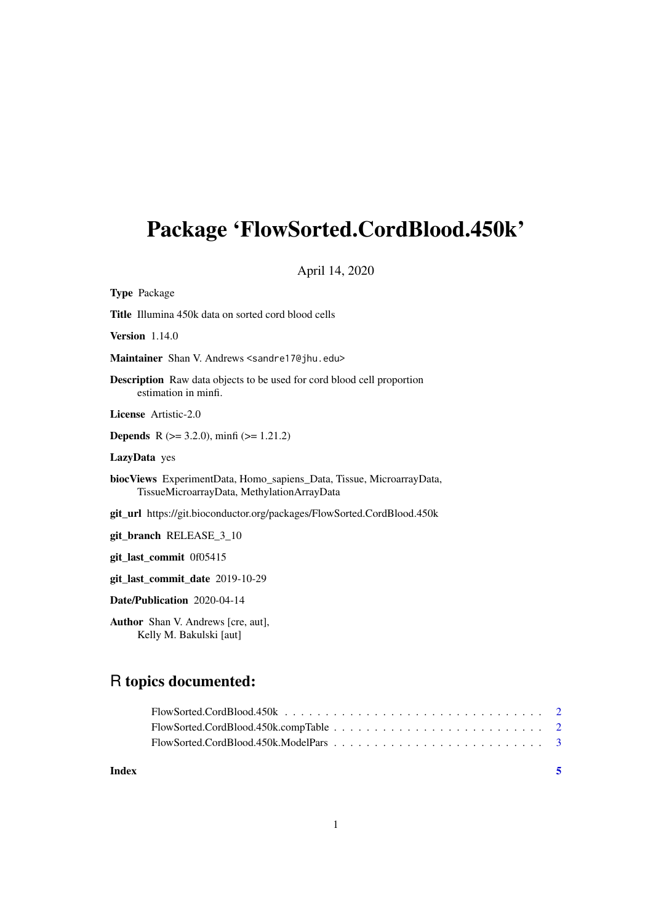## Package 'FlowSorted.CordBlood.450k'

April 14, 2020

Type Package

Title Illumina 450k data on sorted cord blood cells

Version 1.14.0

Maintainer Shan V. Andrews <sandre17@jhu.edu>

Description Raw data objects to be used for cord blood cell proportion estimation in minfi.

License Artistic-2.0

**Depends** R ( $>= 3.2.0$ ), minfi ( $>= 1.21.2$ )

LazyData yes

biocViews ExperimentData, Homo\_sapiens\_Data, Tissue, MicroarrayData, TissueMicroarrayData, MethylationArrayData

git\_url https://git.bioconductor.org/packages/FlowSorted.CordBlood.450k

git\_branch RELEASE\_3\_10

git\_last\_commit 0f05415

git\_last\_commit\_date 2019-10-29

Date/Publication 2020-04-14

Author Shan V. Andrews [cre, aut], Kelly M. Bakulski [aut]

### R topics documented:

**Index** [5](#page-4-0). The second state of the second state of the second state of the second state of the second state of the second state of the second state of the second state of the second state of the second state of the second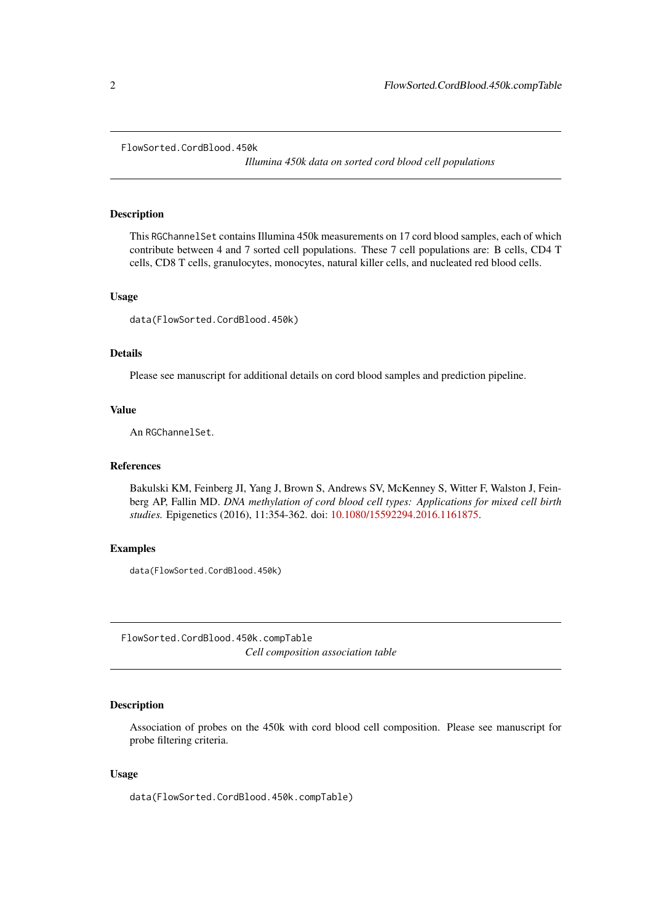#### <span id="page-1-0"></span>FlowSorted.CordBlood.450k

*Illumina 450k data on sorted cord blood cell populations*

#### Description

This RGChannelSet contains Illumina 450k measurements on 17 cord blood samples, each of which contribute between 4 and 7 sorted cell populations. These 7 cell populations are: B cells, CD4 T cells, CD8 T cells, granulocytes, monocytes, natural killer cells, and nucleated red blood cells.

#### Usage

data(FlowSorted.CordBlood.450k)

#### Details

Please see manuscript for additional details on cord blood samples and prediction pipeline.

#### Value

An RGChannelSet.

#### References

Bakulski KM, Feinberg JI, Yang J, Brown S, Andrews SV, McKenney S, Witter F, Walston J, Feinberg AP, Fallin MD. *DNA methylation of cord blood cell types: Applications for mixed cell birth studies.* Epigenetics (2016), 11:354-362. doi: [10.1080/15592294.2016.1161875.](https://doi.org/10.1080/15592294.2016.1161875)

#### Examples

data(FlowSorted.CordBlood.450k)

FlowSorted.CordBlood.450k.compTable *Cell composition association table*

#### Description

Association of probes on the 450k with cord blood cell composition. Please see manuscript for probe filtering criteria.

#### Usage

data(FlowSorted.CordBlood.450k.compTable)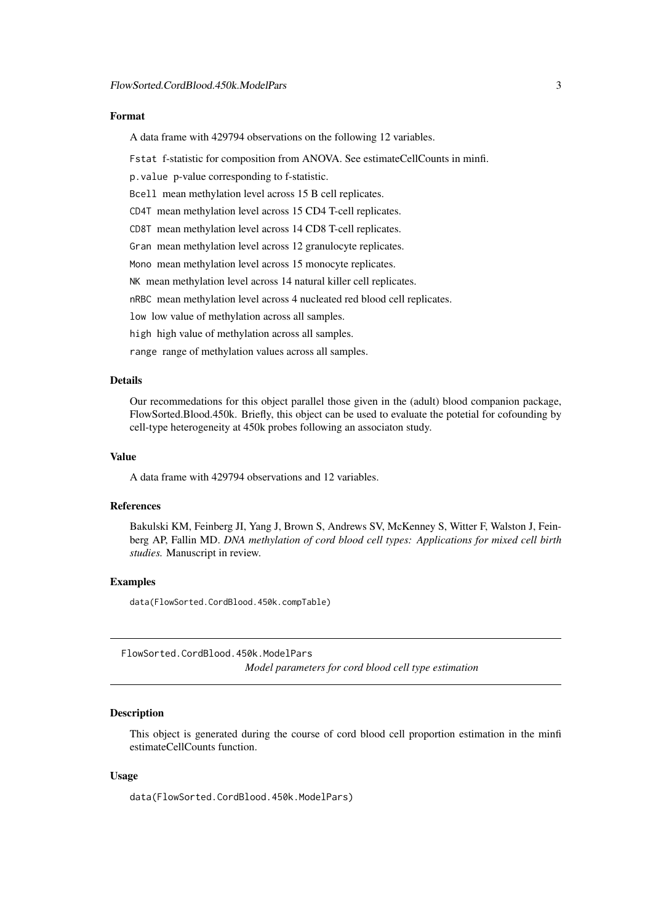#### <span id="page-2-0"></span>Format

A data frame with 429794 observations on the following 12 variables.

Fstat f-statistic for composition from ANOVA. See estimateCellCounts in minfi.

p.value p-value corresponding to f-statistic.

Bcell mean methylation level across 15 B cell replicates.

CD4T mean methylation level across 15 CD4 T-cell replicates.

CD8T mean methylation level across 14 CD8 T-cell replicates.

Gran mean methylation level across 12 granulocyte replicates.

Mono mean methylation level across 15 monocyte replicates.

NK mean methylation level across 14 natural killer cell replicates.

nRBC mean methylation level across 4 nucleated red blood cell replicates.

low low value of methylation across all samples.

high high value of methylation across all samples.

range range of methylation values across all samples.

#### Details

Our recommedations for this object parallel those given in the (adult) blood companion package, FlowSorted.Blood.450k. Briefly, this object can be used to evaluate the potetial for cofounding by cell-type heterogeneity at 450k probes following an associaton study.

#### Value

A data frame with 429794 observations and 12 variables.

#### References

Bakulski KM, Feinberg JI, Yang J, Brown S, Andrews SV, McKenney S, Witter F, Walston J, Feinberg AP, Fallin MD. *DNA methylation of cord blood cell types: Applications for mixed cell birth studies.* Manuscript in review.

#### Examples

data(FlowSorted.CordBlood.450k.compTable)

FlowSorted.CordBlood.450k.ModelPars *Model parameters for cord blood cell type estimation*

#### Description

This object is generated during the course of cord blood cell proportion estimation in the minfi estimateCellCounts function.

#### Usage

data(FlowSorted.CordBlood.450k.ModelPars)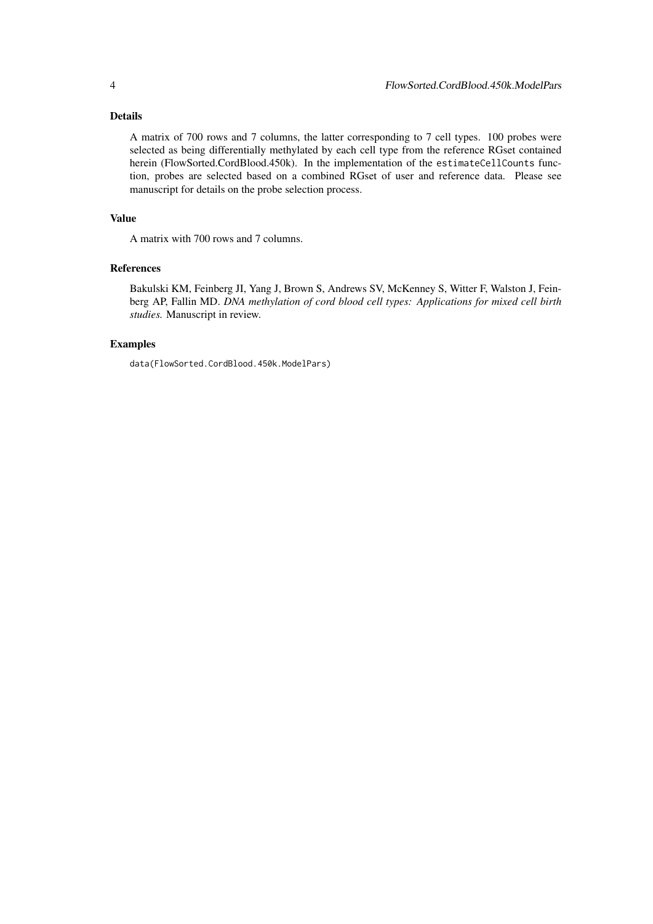#### Details

A matrix of 700 rows and 7 columns, the latter corresponding to 7 cell types. 100 probes were selected as being differentially methylated by each cell type from the reference RGset contained herein (FlowSorted.CordBlood.450k). In the implementation of the estimateCellCounts function, probes are selected based on a combined RGset of user and reference data. Please see manuscript for details on the probe selection process.

#### Value

A matrix with 700 rows and 7 columns.

#### References

Bakulski KM, Feinberg JI, Yang J, Brown S, Andrews SV, McKenney S, Witter F, Walston J, Feinberg AP, Fallin MD. *DNA methylation of cord blood cell types: Applications for mixed cell birth studies.* Manuscript in review.

#### Examples

data(FlowSorted.CordBlood.450k.ModelPars)